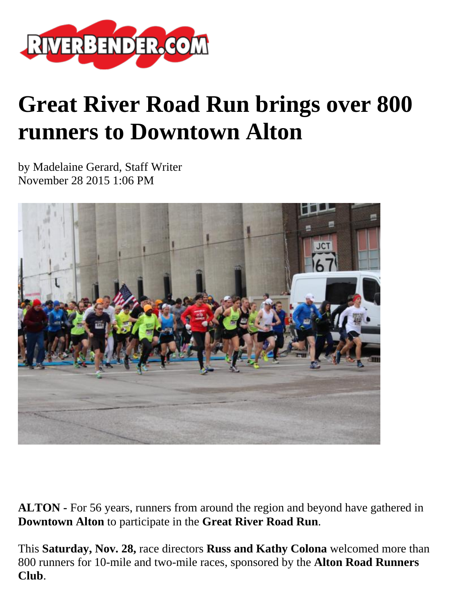

## **Great River Road Run brings over 800 runners to Downtown Alton**

by Madelaine Gerard, Staff Writer November 28 2015 1:06 PM



**ALTON -** For 56 years, runners from around the region and beyond have gathered in **Downtown Alton** to participate in the **Great River Road Run**.

This **Saturday, Nov. 28,** race directors **Russ and Kathy Colona** welcomed more than 800 runners for 10-mile and two-mile races, sponsored by the **Alton Road Runners Club**.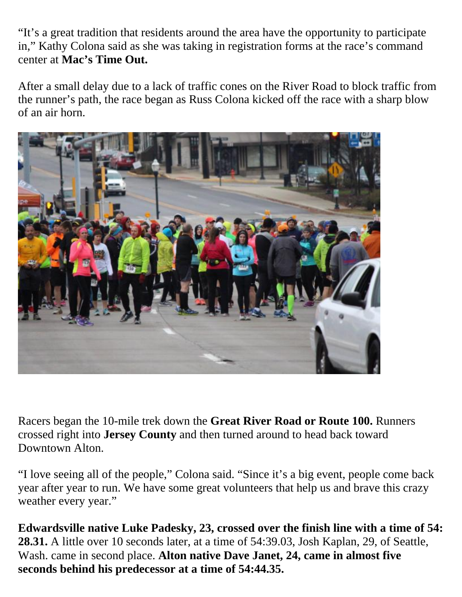"It's a great tradition that residents around the area have the opportunity to participate in," Kathy Colona said as she was taking in registration forms at the race's command center at **Mac's Time Out.**

After a small delay due to a lack of traffic cones on the River Road to block traffic from the runner's path, the race began as Russ Colona kicked off the race with a sharp blow of an air horn.



Racers began the 10-mile trek down the **Great River Road or Route 100.** Runners crossed right into **Jersey County** and then turned around to head back toward Downtown Alton.

"I love seeing all of the people," Colona said. "Since it's a big event, people come back year after year to run. We have some great volunteers that help us and brave this crazy weather every year."

**Edwardsville native Luke Padesky, 23, crossed over the finish line with a time of 54: 28.31.** A little over 10 seconds later, at a time of 54:39.03, Josh Kaplan, 29, of Seattle, Wash. came in second place. **Alton native Dave Janet, 24, came in almost five seconds behind his predecessor at a time of 54:44.35.**